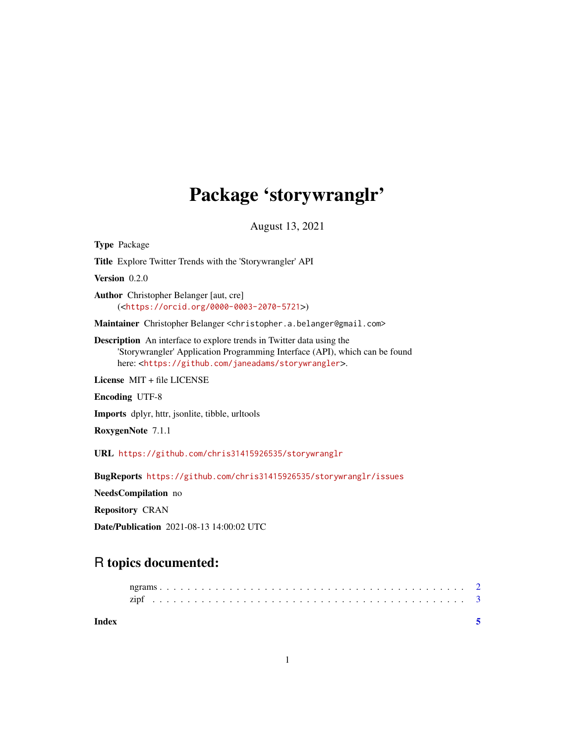## Package 'storywranglr'

August 13, 2021

Type Package Title Explore Twitter Trends with the 'Storywrangler' API Version 0.2.0 Author Christopher Belanger [aut, cre] (<<https://orcid.org/0000-0003-2070-5721>>) Maintainer Christopher Belanger <christopher.a.belanger@gmail.com> Description An interface to explore trends in Twitter data using the 'Storywrangler' Application Programming Interface (API), which can be found here: <<https://github.com/janeadams/storywrangler>>. License MIT + file LICENSE Encoding UTF-8 Imports dplyr, httr, jsonlite, tibble, urltools RoxygenNote 7.1.1 URL <https://github.com/chris31415926535/storywranglr> BugReports <https://github.com/chris31415926535/storywranglr/issues>

NeedsCompilation no

Repository CRAN

Date/Publication 2021-08-13 14:00:02 UTC

### R topics documented:

| Index |  |  |  |  |  |  |  |  |  |  |  |  |  |  |  |  |  |  |  |  |  |  |
|-------|--|--|--|--|--|--|--|--|--|--|--|--|--|--|--|--|--|--|--|--|--|--|
|       |  |  |  |  |  |  |  |  |  |  |  |  |  |  |  |  |  |  |  |  |  |  |
|       |  |  |  |  |  |  |  |  |  |  |  |  |  |  |  |  |  |  |  |  |  |  |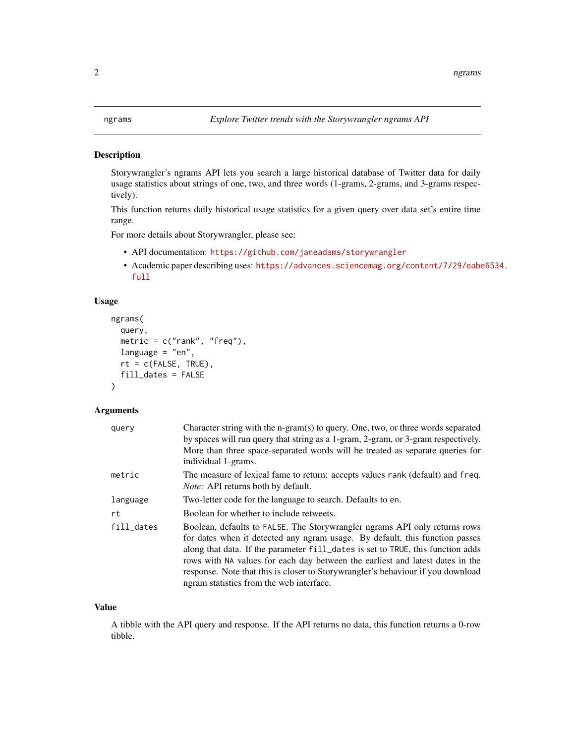### <span id="page-1-0"></span>Description

Storywrangler's ngrams API lets you search a large historical database of Twitter data for daily usage statistics about strings of one, two, and three words (1-grams, 2-grams, and 3-grams respectively).

This function returns daily historical usage statistics for a given query over data set's entire time range.

For more details about Storywrangler, please see:

- API documentation: <https://github.com/janeadams/storywrangler>
- Academic paper describing uses: [https://advances.sciencemag.org/content/7/29/eabe](https://advances.sciencemag.org/content/7/29/eabe6534.full)6534. [full](https://advances.sciencemag.org/content/7/29/eabe6534.full)

#### Usage

```
ngrams(
  query,
 metric = c("rank", "freq"),language = "en",
  rt = c(FALSE, TRUE),fill_dates = FALSE
)
```
### Arguments

| query      | Character string with the n-gram(s) to query. One, two, or three words separated<br>by spaces will run query that string as a 1-gram, 2-gram, or 3-gram respectively.                                                                                                                                                                                                                                                                                         |
|------------|---------------------------------------------------------------------------------------------------------------------------------------------------------------------------------------------------------------------------------------------------------------------------------------------------------------------------------------------------------------------------------------------------------------------------------------------------------------|
|            | More than three space-separated words will be treated as separate queries for<br>individual 1-grams.                                                                                                                                                                                                                                                                                                                                                          |
| metric     | The measure of lexical fame to return: accepts values rank (default) and freq.<br>Note: API returns both by default.                                                                                                                                                                                                                                                                                                                                          |
| language   | Two-letter code for the language to search. Defaults to en.                                                                                                                                                                                                                                                                                                                                                                                                   |
| rt         | Boolean for whether to include retweets.                                                                                                                                                                                                                                                                                                                                                                                                                      |
| fill_dates | Boolean, defaults to FALSE. The Storywrangler ngrams API only returns rows<br>for dates when it detected any ngram usage. By default, this function passes<br>along that data. If the parameter fill_dates is set to TRUE, this function adds<br>rows with NA values for each day between the earliest and latest dates in the<br>response. Note that this is closer to Storywrangler's behaviour if you download<br>ngram statistics from the web interface. |

#### Value

A tibble with the API query and response. If the API returns no data, this function returns a 0-row tibble.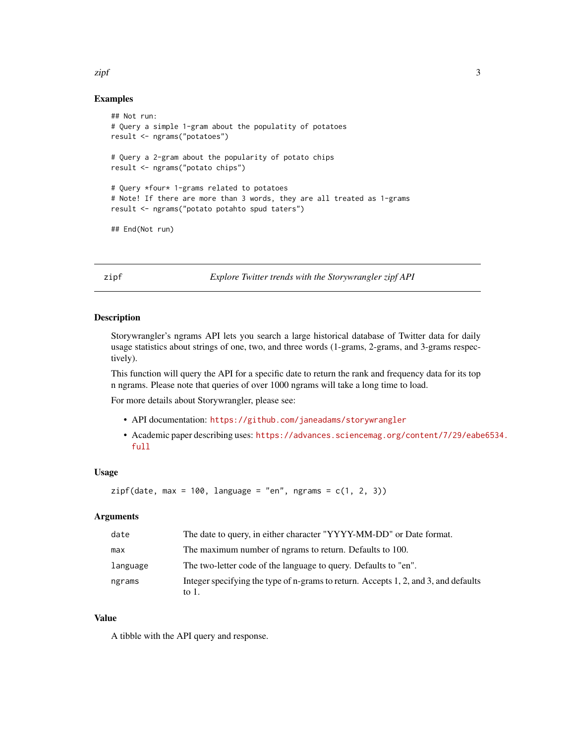### Examples

```
## Not run:
# Query a simple 1-gram about the populatity of potatoes
result <- ngrams("potatoes")
# Query a 2-gram about the popularity of potato chips
result <- ngrams("potato chips")
# Query *four* 1-grams related to potatoes
# Note! If there are more than 3 words, they are all treated as 1-grams
result <- ngrams("potato potahto spud taters")
## End(Not run)
```
zipf *Explore Twitter trends with the Storywrangler zipf API*

### Description

Storywrangler's ngrams API lets you search a large historical database of Twitter data for daily usage statistics about strings of one, two, and three words (1-grams, 2-grams, and 3-grams respectively).

This function will query the API for a specific date to return the rank and frequency data for its top n ngrams. Please note that queries of over 1000 ngrams will take a long time to load.

For more details about Storywrangler, please see:

- API documentation: <https://github.com/janeadams/storywrangler>
- Academic paper describing uses: [https://advances.sciencemag.org/content/7/29/eabe](https://advances.sciencemag.org/content/7/29/eabe6534.full)6534. [full](https://advances.sciencemag.org/content/7/29/eabe6534.full)

### Usage

```
zipf(data, max = 100, language = "en", ngrams = c(1, 2, 3))
```
### Arguments

| date     | The date to query, in either character "YYYY-MM-DD" or Date format.                             |
|----------|-------------------------------------------------------------------------------------------------|
| max      | The maximum number of ngrams to return. Defaults to 100.                                        |
| language | The two-letter code of the language to query. Defaults to "en".                                 |
| ngrams   | Integer specifying the type of n-grams to return. Accepts 1, 2, and 3, and defaults<br>to $1$ . |

### Value

A tibble with the API query and response.

<span id="page-2-0"></span>zipf 3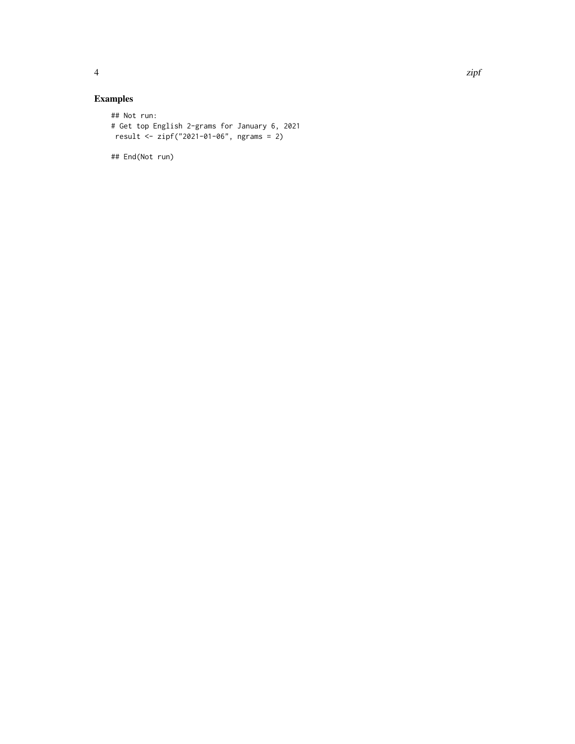### Examples

```
## Not run:
# Get top English 2-grams for January 6, 2021
result <- zipf("2021-01-06", ngrams = 2)
```
## End(Not run)